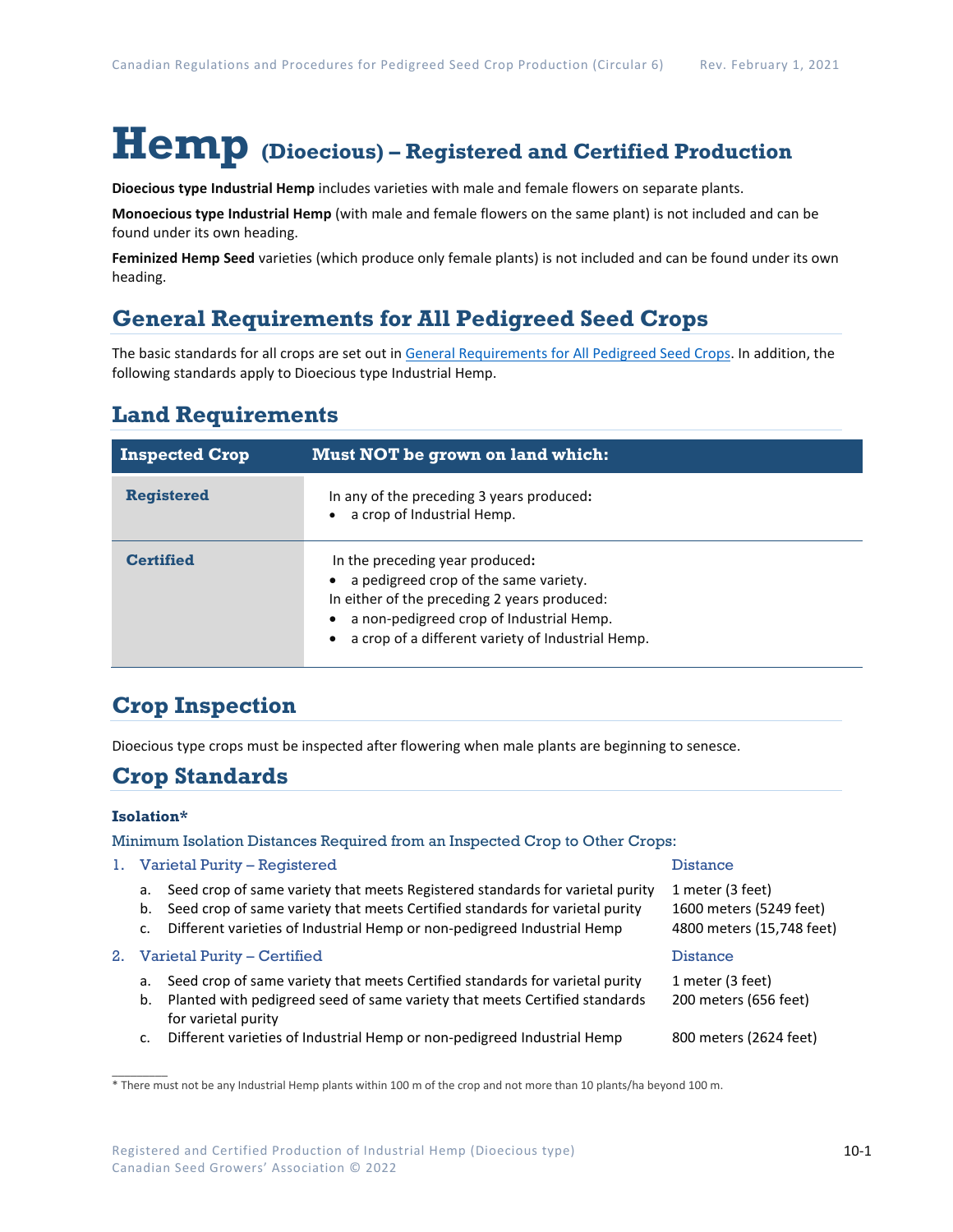# **Hemp (Dioecious) – Registered and Certified Production**

**Dioecious type Industrial Hemp** includes varieties with male and female flowers on separate plants.

**Monoecious type Industrial Hemp** (with male and female flowers on the same plant) is not included and can be found under its own heading.

**Feminized Hemp Seed** varieties (which produce only female plants) is not included and can be found under its own heading.

# **General Requirements for All Pedigreed Seed Crops**

The basic standards for all crops are set out i[n General Requirements for All Pedigreed Seed](https://seedgrowers.ca/wp-content/uploads/2020/01/GENERAL-REQUIREMENTS-ALL-CROPS_EN.pdf) Crops. In addition, the following standards apply to Dioecious type Industrial Hemp.

# **Land Requirements**

| <b>Inspected Crop</b> | Must NOT be grown on land which:                                                                                                                                                                                          |
|-----------------------|---------------------------------------------------------------------------------------------------------------------------------------------------------------------------------------------------------------------------|
| <b>Registered</b>     | In any of the preceding 3 years produced:<br>a crop of Industrial Hemp.                                                                                                                                                   |
| <b>Certified</b>      | In the preceding year produced:<br>a pedigreed crop of the same variety.<br>In either of the preceding 2 years produced:<br>a non-pedigreed crop of Industrial Hemp.<br>a crop of a different variety of Industrial Hemp. |

# **Crop Inspection**

Dioecious type crops must be inspected after flowering when male plants are beginning to senesce.

## **Crop Standards**

#### **Isolation\***

 $\mathcal{L}$ 

Minimum Isolation Distances Required from an Inspected Crop to Other Crops:

#### 1. Varietal Purity – Registered and Distance Distance

- a. Seed crop of same variety that meets Registered standards for varietal purity
- b. Seed crop of same variety that meets Certified standards for varietal purity
- c. Different varieties of Industrial Hemp or non-pedigreed Industrial Hemp

### 2. Varietal Purity – Certified **Distance** Distance

- a. Seed crop of same variety that meets Certified standards for varietal purity 1 meter (3 feet)
- b. Planted with pedigreed seed of same variety that meets Certified standards 200 meters (656 feet) for varietal purity
- c. Different varieties of Industrial Hemp or non-pedigreed Industrial Hemp 800 meters (2624 feet)

| 1 meter (3 feet)          |  |
|---------------------------|--|
| 1600 meters (5249 feet)   |  |
| 4800 meters (15,748 feet) |  |

<sup>\*</sup> There must not be any Industrial Hemp plants within 100 m of the crop and not more than 10 plants/ha beyond 100 m.